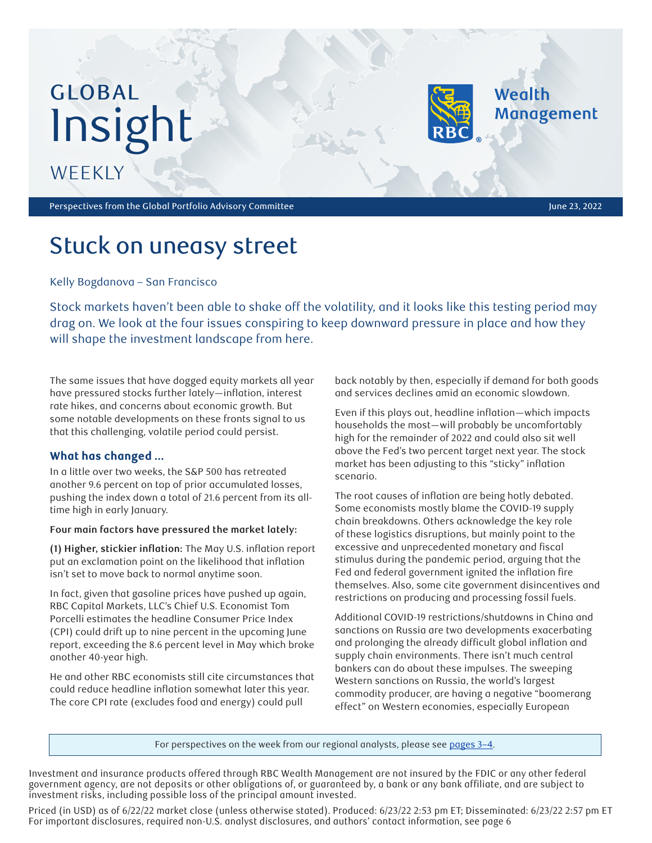# GLOBAL Insight **WEEKLY**

Perspectives from the Global Portfolio Advisory Committee June 23, 2022 and 23, 2022

Wealth

**Management** 

# Stuck on uneasy street

Kelly Bogdanova – San Francisco

Stock markets haven't been able to shake off the volatility, and it looks like this testing period may drag on. We look at the four issues conspiring to keep downward pressure in place and how they will shape the investment landscape from here.

The same issues that have dogged equity markets all year have pressured stocks further lately—inflation, interest rate hikes, and concerns about economic growth. But some notable developments on these fronts signal to us that this challenging, volatile period could persist.

# **What has changed …**

In a little over two weeks, the S&P 500 has retreated another 9.6 percent on top of prior accumulated losses, pushing the index down a total of 21.6 percent from its alltime high in early January.

# **Four main factors have pressured the market lately:**

**(1) Higher, stickier inflation:** The May U.S. inflation report put an exclamation point on the likelihood that inflation isn't set to move back to normal anytime soon.

In fact, given that gasoline prices have pushed up again, RBC Capital Markets, LLC's Chief U.S. Economist Tom Porcelli estimates the headline Consumer Price Index (CPI) could drift up to nine percent in the upcoming June report, exceeding the 8.6 percent level in May which broke another 40-year high.

He and other RBC economists still cite circumstances that could reduce headline inflation somewhat later this year. The core CPI rate (excludes food and energy) could pull

back notably by then, especially if demand for both goods and services declines amid an economic slowdown.

Even if this plays out, headline inflation—which impacts households the most—will probably be uncomfortably high for the remainder of 2022 and could also sit well above the Fed's two percent target next year. The stock market has been adjusting to this "sticky" inflation scenario.

The root causes of inflation are being hotly debated. Some economists mostly blame the COVID-19 supply chain breakdowns. Others acknowledge the key role of these logistics disruptions, but mainly point to the excessive and unprecedented monetary and fiscal stimulus during the pandemic period, arguing that the Fed and federal government ignited the inflation fire themselves. Also, some cite government disincentives and restrictions on producing and processing fossil fuels.

Additional COVID-19 restrictions/shutdowns in China and sanctions on Russia are two developments exacerbating and prolonging the already difficult global inflation and supply chain environments. There isn't much central bankers can do about these impulses. The sweeping Western sanctions on Russia, the world's largest commodity producer, are having a negative "boomerang effect" on Western economies, especially European

For perspectives on the week from our regional analysts, please see [pages 3–4](#page-2-0).

Investment and insurance products offered through RBC Wealth Management are not insured by the FDIC or any other federal government agency, are not deposits or other obligations of, or guaranteed by, a bank or any bank affiliate, and are subject to investment risks, including possible loss of the principal amount invested.

Priced (in USD) as of 6/22/22 market close (unless otherwise stated). Produced: 6/23/22 2:53 pm ET; Disseminated: 6/23/22 2:57 pm ET For important disclosures, required non-U.S. analyst disclosures, and authors' contact information, see page 6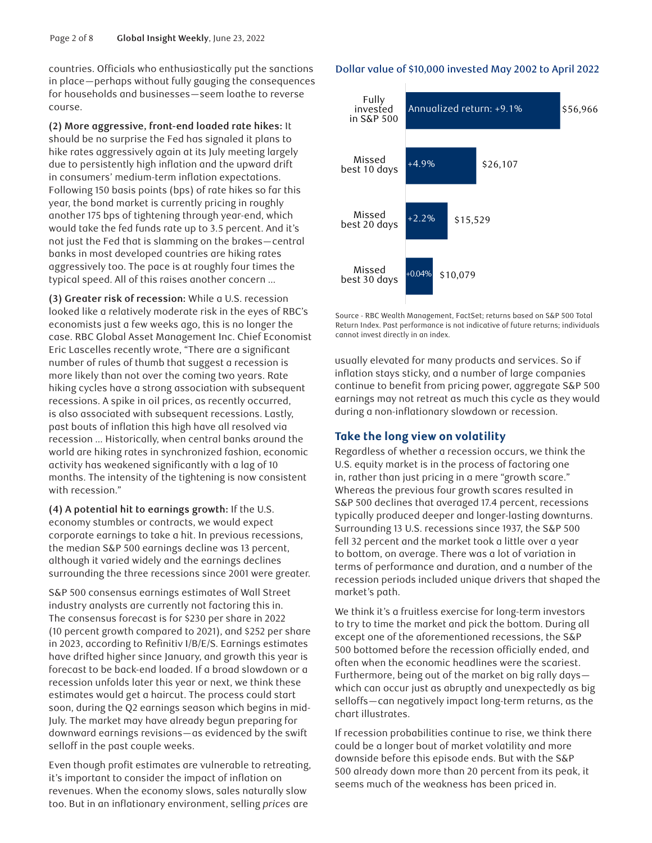countries. Officials who enthusiastically put the sanctions in place—perhaps without fully gauging the consequences for households and businesses—seem loathe to reverse course.

**(2) More aggressive, front-end loaded rate hikes:** It should be no surprise the Fed has signaled it plans to hike rates aggressively again at its July meeting largely due to persistently high inflation and the upward drift in consumers' medium-term inflation expectations. Following 150 basis points (bps) of rate hikes so far this year, the bond market is currently pricing in roughly another 175 bps of tightening through year-end, which would take the fed funds rate up to 3.5 percent. And it's not just the Fed that is slamming on the brakes—central banks in most developed countries are hiking rates aggressively too. The pace is at roughly four times the typical speed. All of this raises another concern …

**(3) Greater risk of recession:** While a U.S. recession looked like a relatively moderate risk in the eyes of RBC's economists just a few weeks ago, this is no longer the case. RBC Global Asset Management Inc. Chief Economist Eric Lascelles recently wrote, "There are a significant number of rules of thumb that suggest a recession is more likely than not over the coming two years. Rate hiking cycles have a strong association with subsequent recessions. A spike in oil prices, as recently occurred, is also associated with subsequent recessions. Lastly, past bouts of inflation this high have all resolved via recession … Historically, when central banks around the world are hiking rates in synchronized fashion, economic activity has weakened significantly with a lag of 10 months. The intensity of the tightening is now consistent with recession."

**(4) A potential hit to earnings growth:** If the U.S. economy stumbles or contracts, we would expect corporate earnings to take a hit. In previous recessions, the median S&P 500 earnings decline was 13 percent, although it varied widely and the earnings declines surrounding the three recessions since 2001 were greater.

S&P 500 consensus earnings estimates of Wall Street industry analysts are currently not factoring this in. The consensus forecast is for \$230 per share in 2022 (10 percent growth compared to 2021), and \$252 per share in 2023, according to Refinitiv I/B/E/S. Earnings estimates have drifted higher since January, and growth this year is forecast to be back-end loaded. If a broad slowdown or a recession unfolds later this year or next, we think these estimates would get a haircut. The process could start soon, during the Q2 earnings season which begins in mid-July. The market may have already begun preparing for downward earnings revisions—as evidenced by the swift selloff in the past couple weeks.

Even though profit estimates are vulnerable to retreating, it's important to consider the impact of inflation on revenues. When the economy slows, sales naturally slow too. But in an inflationary environment, selling *prices* are

#### Dollar value of \$10,000 invested May 2002 to April 2022



Source - RBC Wealth Management, FactSet; returns based on S&P 500 Total Return Index. Past performance is not indicative of future returns; individuals cannot invest directly in an index.

usually elevated for many products and services. So if inflation stays sticky, and a number of large companies continue to benefit from pricing power, aggregate S&P 500 earnings may not retreat as much this cycle as they would during a non-inflationary slowdown or recession.

# **Take the long view on volatility**

Regardless of whether a recession occurs, we think the U.S. equity market is in the process of factoring one in, rather than just pricing in a mere "growth scare." Whereas the previous four growth scares resulted in S&P 500 declines that averaged 17.4 percent, recessions typically produced deeper and longer-lasting downturns. Surrounding 13 U.S. recessions since 1937, the S&P 500 fell 32 percent and the market took a little over a year to bottom, on average. There was a lot of variation in terms of performance and duration, and a number of the recession periods included unique drivers that shaped the market's path.

We think it's a fruitless exercise for long-term investors to try to time the market and pick the bottom. During all except one of the aforementioned recessions, the S&P 500 bottomed before the recession officially ended, and often when the economic headlines were the scariest. Furthermore, being out of the market on big rally days which can occur just as abruptly and unexpectedly as big selloffs—can negatively impact long-term returns, as the chart illustrates.

If recession probabilities continue to rise, we think there could be a longer bout of market volatility and more downside before this episode ends. But with the S&P 500 already down more than 20 percent from its peak, it seems much of the weakness has been priced in.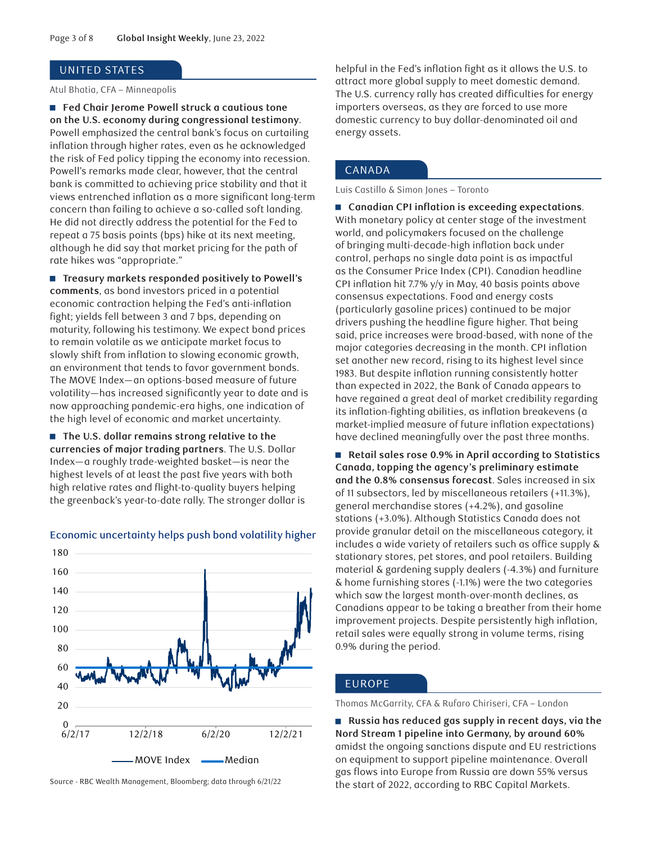#### <span id="page-2-0"></span>UNITED STATES

Atul Bhatia, CFA – Minneapolis

■ Fed Chair Jerome Powell struck a cautious tone **on the U.S. economy during congressional testimony**. Powell emphasized the central bank's focus on curtailing inflation through higher rates, even as he acknowledged the risk of Fed policy tipping the economy into recession. Powell's remarks made clear, however, that the central bank is committed to achieving price stability and that it views entrenched inflation as a more significant long-term concern than failing to achieve a so-called soft landing. He did not directly address the potential for the Fed to repeat a 75 basis points (bps) hike at its next meeting, although he did say that market pricing for the path of rate hikes was "appropriate."

■ Treasury markets responded positively to Powell's **comments**, as bond investors priced in a potential economic contraction helping the Fed's anti-inflation fight; yields fell between 3 and 7 bps, depending on maturity, following his testimony. We expect bond prices to remain volatile as we anticipate market focus to slowly shift from inflation to slowing economic growth, an environment that tends to favor government bonds. The MOVE Index—an options-based measure of future volatility—has increased significantly year to date and is now approaching pandemic-era highs, one indication of the high level of economic and market uncertainty.

■ The U.S. dollar remains strong relative to the **currencies of major trading partners**. The U.S. Dollar Index—a roughly trade-weighted basket—is near the highest levels of at least the past five years with both high relative rates and flight-to-quality buyers helping the greenback's year-to-date rally. The stronger dollar is



#### Economic uncertainty helps push bond volatility higher

Source - RBC Wealth Management, Bloomberg; data through 6/21/22

helpful in the Fed's inflation fight as it allows the U.S. to attract more global supply to meet domestic demand. The U.S. currency rally has created difficulties for energy importers overseas, as they are forced to use more domestic currency to buy dollar-denominated oil and energy assets.

# CANADA

Luis Castillo & Simon Jones – Toronto

■ Canadian CPI inflation is exceeding expectations. With monetary policy at center stage of the investment world, and policymakers focused on the challenge of bringing multi-decade-high inflation back under control, perhaps no single data point is as impactful as the Consumer Price Index (CPI). Canadian headline CPI inflation hit 7.7% y/y in May, 40 basis points above consensus expectations. Food and energy costs (particularly gasoline prices) continued to be major drivers pushing the headline figure higher. That being said, price increases were broad-based, with none of the major categories decreasing in the month. CPI inflation set another new record, rising to its highest level since 1983. But despite inflation running consistently hotter than expected in 2022, the Bank of Canada appears to have regained a great deal of market credibility regarding its inflation-fighting abilities, as inflation breakevens (a market-implied measure of future inflation expectations) have declined meaningfully over the past three months.

■ Retail sales rose 0.9% in April according to Statistics **Canada, topping the agency's preliminary estimate and the 0.8% consensus forecast**. Sales increased in six of 11 subsectors, led by miscellaneous retailers (+11.3%), general merchandise stores (+4.2%), and gasoline stations (+3.0%). Although Statistics Canada does not provide granular detail on the miscellaneous category, it includes a wide variety of retailers such as office supply & stationary stores, pet stores, and pool retailers. Building material & gardening supply dealers (-4.3%) and furniture & home furnishing stores (-1.1%) were the two categories which saw the largest month-over-month declines, as Canadians appear to be taking a breather from their home improvement projects. Despite persistently high inflation, retail sales were equally strong in volume terms, rising 0.9% during the period.

# EUROPE

Thomas McGarrity, CFA & Rufaro Chiriseri, CFA – London

■ Russia has reduced gas supply in recent days, via the **Nord Stream 1 pipeline into Germany, by around 60%**  amidst the ongoing sanctions dispute and EU restrictions on equipment to support pipeline maintenance. Overall gas flows into Europe from Russia are down 55% versus the start of 2022, according to RBC Capital Markets.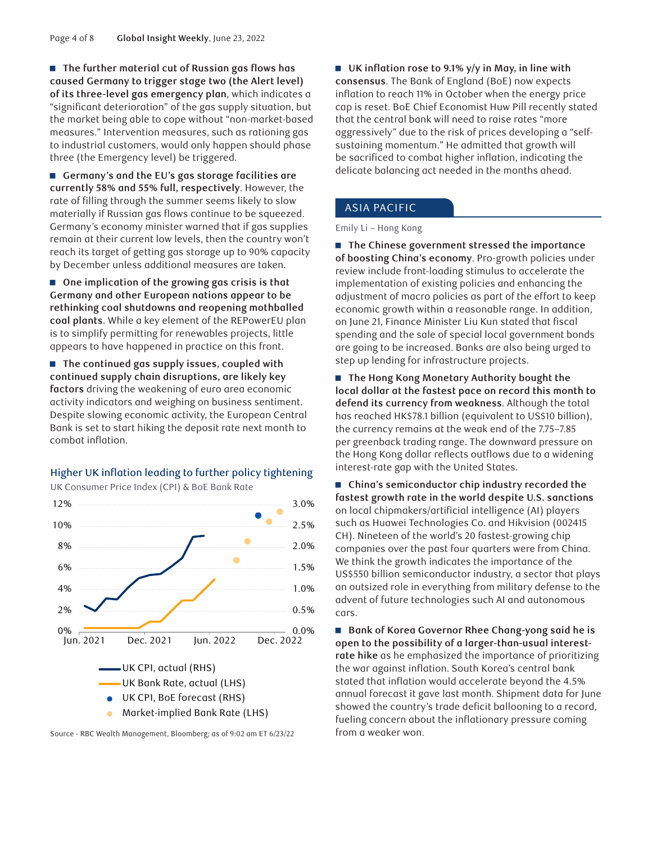■ The further material cut of Russian gas flows has **caused Germany to trigger stage two (the Alert level) of its three-level gas emergency plan**, which indicates a "significant deterioration" of the gas supply situation, but the market being able to cope without "non-market-based measures." Intervention measures, such as rationing gas to industrial customers, would only happen should phase three (the Emergency level) be triggered.

■ Germany's and the EU's gas storage facilities are **currently 58% and 55% full, respectively**. However, the rate of filling through the summer seems likely to slow materially if Russian gas flows continue to be squeezed. Germany's economy minister warned that if gas supplies remain at their current low levels, then the country won't reach its target of getting gas storage up to 90% capacity by December unless additional measures are taken.

■ One implication of the growing gas crisis is that **Germany and other European nations appear to be rethinking coal shutdowns and reopening mothballed coal plants**. While a key element of the REPowerEU plan is to simplify permitting for renewables projects, little appears to have happened in practice on this front.

■ The continued gas supply issues, coupled with **continued supply chain disruptions, are likely key factors** driving the weakening of euro area economic activity indicators and weighing on business sentiment. Despite slowing economic activity, the European Central Bank is set to start hiking the deposit rate next month to combat inflation.

# Higher UK inflation leading to further policy tightening





Source - RBC Wealth Management, Bloomberg; as of 9:02 am ET 6/23/22

■ UK inflation rose to 9.1% y/y in May, in line with **consensus**. The Bank of England (BoE) now expects inflation to reach 11% in October when the energy price cap is reset. BoE Chief Economist Huw Pill recently stated that the central bank will need to raise rates "more aggressively" due to the risk of prices developing a "selfsustaining momentum." He admitted that growth will be sacrificed to combat higher inflation, indicating the delicate balancing act needed in the months ahead.

#### ASIA PACIFIC

Emily Li – Hong Kong

■ The Chinese government stressed the importance **of boosting China's economy**. Pro-growth policies under review include front-loading stimulus to accelerate the implementation of existing policies and enhancing the adjustment of macro policies as part of the effort to keep economic growth within a reasonable range. In addition, on June 21, Finance Minister Liu Kun stated that fiscal spending and the sale of special local government bonds are going to be increased. Banks are also being urged to step up lending for infrastructure projects.

■ The Hong Kong Monetary Authority bought the **local dollar at the fastest pace on record this month to defend its currency from weakness**. Although the total has reached HK\$78.1 billion (equivalent to US\$10 billion), the currency remains at the weak end of the 7.75–7.85 per greenback trading range. The downward pressure on the Hong Kong dollar reflects outflows due to a widening interest-rate gap with the United States.

■ China's semiconductor chip industry recorded the **fastest growth rate in the world despite U.S. sanctions** on local chipmakers/artificial intelligence (AI) players such as Huawei Technologies Co. and Hikvision (002415 CH). Nineteen of the world's 20 fastest-growing chip companies over the past four quarters were from China. We think the growth indicates the importance of the US\$550 billion semiconductor industry, a sector that plays an outsized role in everything from military defense to the advent of future technologies such AI and autonomous cars.

■ Bank of Korea Governor Rhee Chang-yong said he is **open to the possibility of a larger-than-usual interestrate hike** as he emphasized the importance of prioritizing the war against inflation. South Korea's central bank stated that inflation would accelerate beyond the 4.5% annual forecast it gave last month. Shipment data for June showed the country's trade deficit ballooning to a record, fueling concern about the inflationary pressure coming from a weaker won.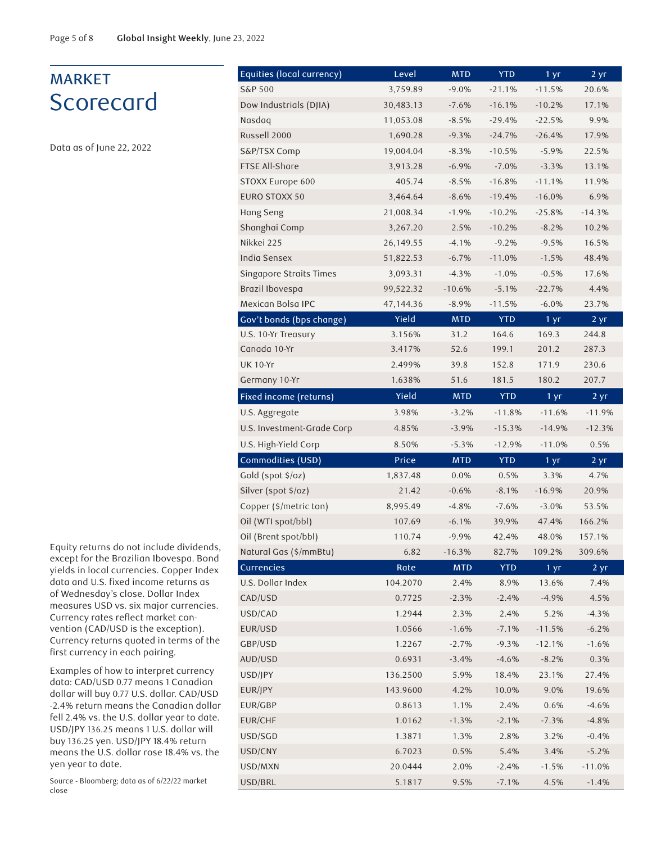# MARKET **Scorecard**

Data as of June 22, 2022

Equity returns do not include dividends, except for the Brazilian Ibovespa. Bond yields in local currencies. Copper Index data and U.S. fixed income returns as of Wednesday's close. Dollar Index measures USD vs. six major currencies. Currency rates reflect market convention (CAD/USD is the exception). Currency returns quoted in terms of the first currency in each pairing.

Examples of how to interpret currency data: CAD/USD 0.77 means 1 Canadian dollar will buy 0.77 U.S. dollar. CAD/USD -2.4% return means the Canadian dollar fell 2.4% vs. the U.S. dollar year to date. USD/JPY 136.25 means 1 U.S. dollar will buy 136.25 yen. USD/JPY 18.4% return means the U.S. dollar rose 18.4% vs. the yen year to date.

Source - Bloomberg; data as of 6/22/22 market close

| Equities (local currency)  | Level            | <b>MTD</b>         | <b>YTD</b>         | $1 \,\mathrm{yr}$    | 2 yr               |
|----------------------------|------------------|--------------------|--------------------|----------------------|--------------------|
| <b>S&amp;P 500</b>         | 3,759.89         | $-9.0%$            | $-21.1%$           | $-11.5%$             | 20.6%              |
| Dow Industrials (DJIA)     | 30,483.13        | $-7.6%$            | $-16.1%$           | $-10.2%$             | 17.1%              |
| Nasdag                     | 11,053.08        | $-8.5%$            | $-29.4%$           | $-22.5%$             | 9.9%               |
| Russell 2000               | 1,690.28         | $-9.3%$            | $-24.7%$           | $-26.4%$             | 17.9%              |
| S&P/TSX Comp               | 19,004.04        | $-8.3%$            | $-10.5%$           | $-5.9%$              | 22.5%              |
| FTSE All-Share             | 3,913.28         | $-6.9%$            | $-7.0%$            | $-3.3%$              | 13.1%              |
| STOXX Europe 600           | 405.74           | $-8.5%$            | $-16.8%$           | $-11.1%$             | 11.9%              |
| <b>EURO STOXX 50</b>       | 3,464.64         | $-8.6%$            | $-19.4%$           | $-16.0%$             | 6.9%               |
| Hang Seng                  | 21,008.34        | $-1.9%$            | $-10.2%$           | $-25.8%$             | $-14.3%$           |
| Shanghai Comp              | 3,267.20         | 2.5%               | $-10.2%$           | $-8.2%$              | 10.2%              |
| Nikkei 225                 | 26,149.55        | $-4.1%$            | $-9.2%$            | $-9.5%$              | 16.5%              |
| India Sensex               | 51,822.53        | $-6.7%$            | $-11.0%$           | $-1.5%$              | 48.4%              |
| Singapore Straits Times    | 3,093.31         | $-4.3%$            | $-1.0%$            | $-0.5%$              | 17.6%              |
| Brazil Ibovespa            | 99,522.32        | $-10.6%$           | $-5.1%$            | $-22.7%$             | 4.4%               |
| Mexican Bolsa IPC          | 47,144.36        | $-8.9%$            | $-11.5%$           | $-6.0%$              | 23.7%              |
| Gov't bonds (bps change)   | Yield            | <b>MTD</b>         | <b>YTD</b>         | 1 yr                 | $2 \, yr$          |
| U.S. 10-Yr Treasury        | 3.156%           | 31.2               | 164.6              | 169.3                | 244.8              |
| Canada 10-Yr               | 3.417%           | 52.6               | 199.1              | 201.2                | 287.3              |
| <b>UK 10-Yr</b>            | 2.499%           | 39.8               | 152.8              | 171.9                | 230.6              |
| Germany 10-Yr              | 1.638%           | 51.6               | 181.5              | 180.2                | 207.7              |
| Fixed income (returns)     | Yield            | <b>MTD</b>         | <b>YTD</b>         | 1 yr                 | 2 yr               |
| U.S. Aggregate             | 3.98%            | $-3.2%$            | $-11.8%$           | $-11.6%$             | $-11.9%$           |
| U.S. Investment-Grade Corp | 4.85%            | $-3.9%$            | $-15.3%$           | $-14.9%$             | $-12.3%$           |
| U.S. High-Yield Corp       | 8.50%            | $-5.3%$            | $-12.9%$           | $-11.0%$             | 0.5%               |
| Commodities (USD)          | Price            | <b>MTD</b>         | <b>YTD</b>         | 1 yr                 | $2 \overline{yr}$  |
| Gold (spot \$/oz)          | 1,837.48         | 0.0%               | 0.5%               | 3.3%                 | 4.7%               |
| Silver (spot \$/oz)        | 21.42            | $-0.6%$            | $-8.1%$            | $-16.9%$             | 20.9%              |
| Copper (\$/metric ton)     | 8,995.49         | $-4.8%$            | $-7.6%$            | $-3.0%$              | 53.5%              |
| Oil (WTI spot/bbl)         | 107.69           | $-6.1%$            | 39.9%              | 47.4%                | 166.2%             |
| Oil (Brent spot/bbl)       | 110.74           | $-9.9%$            | 42.4%              | 48.0%                | 157.1%             |
| Natural Gas (\$/mmBtu)     | 6.82             | $-16.3%$           | 82.7%              | 109.2%               | 309.6%             |
| <b>Currencies</b>          | Rate             | <b>MTD</b>         | <b>YTD</b>         | 1 <sub>yr</sub>      | 2 yr               |
| U.S. Dollar Index          | 104.2070         | 2.4%               | 8.9%               | 13.6%                | 7.4%               |
| CAD/USD                    | 0.7725           | $-2.3%$            | $-2.4%$            | $-4.9%$              | 4.5%               |
| USD/CAD<br>EUR/USD         | 1.2944<br>1.0566 | 2.3%               | 2.4%               | 5.2%                 | $-4.3%$            |
| GBP/USD                    | 1.2267           | $-1.6%$<br>$-2.7%$ | $-7.1%$<br>$-9.3%$ | $-11.5%$<br>$-12.1%$ | $-6.2%$<br>$-1.6%$ |
| AUD/USD                    | 0.6931           | $-3.4%$            | $-4.6%$            | $-8.2%$              | 0.3%               |
| USD/JPY                    | 136.2500         | 5.9%               | 18.4%              | 23.1%                | 27.4%              |
| EUR/JPY                    | 143.9600         | 4.2%               | 10.0%              | 9.0%                 | 19.6%              |
| EUR/GBP                    | 0.8613           | 1.1%               | 2.4%               | 0.6%                 | $-4.6%$            |
| EUR/CHF                    | 1.0162           | $-1.3%$            | $-2.1%$            | $-7.3%$              | $-4.8%$            |
| USD/SGD                    | 1.3871           | 1.3%               | 2.8%               | 3.2%                 | $-0.4%$            |
| USD/CNY                    | 6.7023           | 0.5%               | 5.4%               | 3.4%                 | $-5.2%$            |
| USD/MXN                    | 20.0444          | 2.0%               | $-2.4%$            | $-1.5%$              | $-11.0%$           |
| USD/BRL                    | 5.1817           | 9.5%               | $-7.1%$            | 4.5%                 | $-1.4%$            |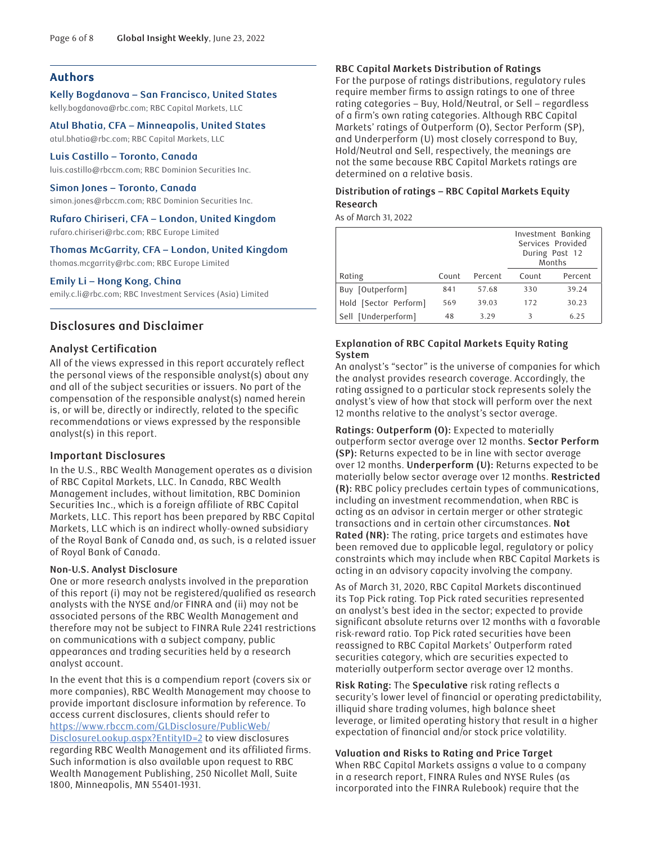# **Authors**

**Kelly Bogdanova – San Francisco, United States**  kelly.bogdanova@rbc.com; RBC Capital Markets, LLC

**Atul Bhatia, CFA – Minneapolis, United States**  atul.bhatia@rbc.com; RBC Capital Markets, LLC

**Luis Castillo – Toronto, Canada**  luis.castillo@rbccm.com; RBC Dominion Securities Inc.

**Simon Jones – Toronto, Canada**  simon.jones@rbccm.com; RBC Dominion Securities Inc.

**Rufaro Chiriseri, CFA – London, United Kingdom** 

rufaro.chiriseri@rbc.com; RBC Europe Limited

#### **Thomas McGarrity, CFA – London, United Kingdom**

thomas.mcgarrity@rbc.com; RBC Europe Limited

#### **Emily Li – Hong Kong, China**

emily.c.li@rbc.com; RBC Investment Services (Asia) Limited

# **Disclosures and Disclaimer**

#### **Analyst Certification**

All of the views expressed in this report accurately reflect the personal views of the responsible analyst(s) about any and all of the subject securities or issuers. No part of the compensation of the responsible analyst(s) named herein is, or will be, directly or indirectly, related to the specific recommendations or views expressed by the responsible analyst(s) in this report.

#### **Important Disclosures**

In the U.S., RBC Wealth Management operates as a division of RBC Capital Markets, LLC. In Canada, RBC Wealth Management includes, without limitation, RBC Dominion Securities Inc., which is a foreign affiliate of RBC Capital Markets, LLC. This report has been prepared by RBC Capital Markets, LLC which is an indirect wholly-owned subsidiary of the Royal Bank of Canada and, as such, is a related issuer of Royal Bank of Canada.

#### **Non-U.S. Analyst Disclosure**

One or more research analysts involved in the preparation of this report (i) may not be registered/qualified as research analysts with the NYSE and/or FINRA and (ii) may not be associated persons of the RBC Wealth Management and therefore may not be subject to FINRA Rule 2241 restrictions on communications with a subject company, public appearances and trading securities held by a research analyst account.

In the event that this is a compendium report (covers six or more companies), RBC Wealth Management may choose to provide important disclosure information by reference. To access current disclosures, clients should refer to [https://www.rbccm.com/GLDisclosure/PublicWeb/](https://www.rbccm.com/GLDisclosure/PublicWeb/DisclosureLookup.aspx?EntityID=2) [DisclosureLookup.aspx?EntityID=2](https://www.rbccm.com/GLDisclosure/PublicWeb/DisclosureLookup.aspx?EntityID=2) to view disclosures regarding RBC Wealth Management and its affiliated firms. Such information is also available upon request to RBC Wealth Management Publishing, 250 Nicollet Mall, Suite 1800, Minneapolis, MN 55401-1931.

#### **RBC Capital Markets Distribution of Ratings**

For the purpose of ratings distributions, regulatory rules require member firms to assign ratings to one of three rating categories – Buy, Hold/Neutral, or Sell – regardless of a firm's own rating categories. Although RBC Capital Markets' ratings of Outperform (O), Sector Perform (SP), and Underperform (U) most closely correspond to Buy, Hold/Neutral and Sell, respectively, the meanings are not the same because RBC Capital Markets ratings are determined on a relative basis.

# **Distribution of ratings – RBC Capital Markets Equity Research**

As of March 31, 2022

|                       |       |         | Investment Banking<br>Services Provided<br>During Past 12<br>Months |         |
|-----------------------|-------|---------|---------------------------------------------------------------------|---------|
| Rating                | Count | Percent | Count                                                               | Percent |
| Buy [Outperform]      | 841   | 57.68   | 330                                                                 | 39.24   |
| Hold [Sector Perform] | 569   | 39.03   | 172                                                                 | 30.23   |
| Sell [Underperform]   | 48    | 3.29    | 3                                                                   | 6.25    |

# **Explanation of RBC Capital Markets Equity Rating System**

An analyst's "sector" is the universe of companies for which the analyst provides research coverage. Accordingly, the rating assigned to a particular stock represents solely the analyst's view of how that stock will perform over the next 12 months relative to the analyst's sector average.

**Ratings: Outperform (O):** Expected to materially outperform sector average over 12 months. **Sector Perform (SP):** Returns expected to be in line with sector average over 12 months. **Underperform (U):** Returns expected to be materially below sector average over 12 months. **Restricted (R):** RBC policy precludes certain types of communications, including an investment recommendation, when RBC is acting as an advisor in certain merger or other strategic transactions and in certain other circumstances. **Not Rated (NR):** The rating, price targets and estimates have been removed due to applicable legal, regulatory or policy constraints which may include when RBC Capital Markets is acting in an advisory capacity involving the company.

As of March 31, 2020, RBC Capital Markets discontinued its Top Pick rating. Top Pick rated securities represented an analyst's best idea in the sector; expected to provide significant absolute returns over 12 months with a favorable risk-reward ratio. Top Pick rated securities have been reassigned to RBC Capital Markets' Outperform rated securities category, which are securities expected to materially outperform sector average over 12 months.

**Risk Rating:** The **Speculative** risk rating reflects a security's lower level of financial or operating predictability, illiquid share trading volumes, high balance sheet leverage, or limited operating history that result in a higher expectation of financial and/or stock price volatility.

#### **Valuation and Risks to Rating and Price Target**

When RBC Capital Markets assigns a value to a company in a research report, FINRA Rules and NYSE Rules (as incorporated into the FINRA Rulebook) require that the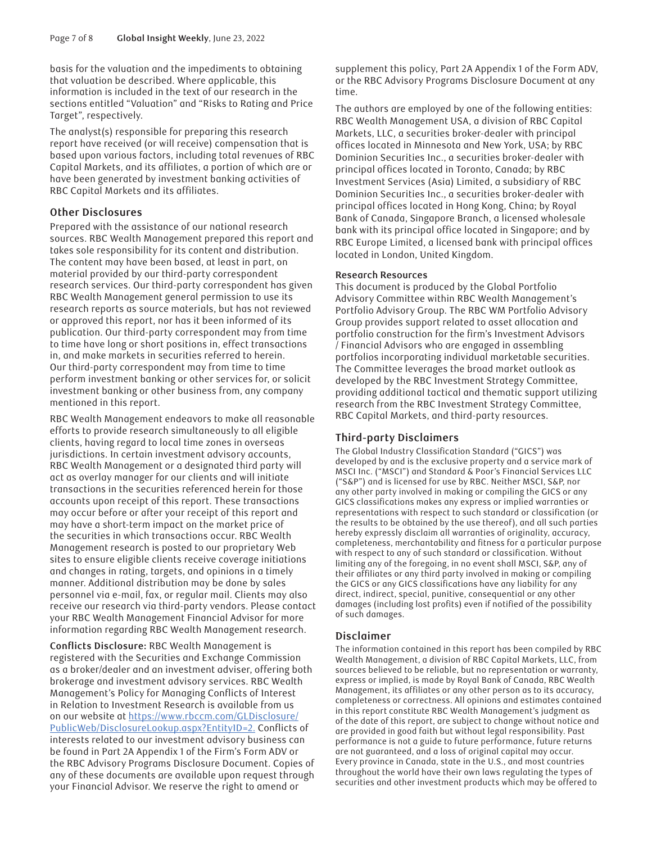basis for the valuation and the impediments to obtaining that valuation be described. Where applicable, this information is included in the text of our research in the sections entitled "Valuation" and "Risks to Rating and Price Target", respectively.

The analyst(s) responsible for preparing this research report have received (or will receive) compensation that is based upon various factors, including total revenues of RBC Capital Markets, and its affiliates, a portion of which are or have been generated by investment banking activities of RBC Capital Markets and its affiliates.

# **Other Disclosures**

Prepared with the assistance of our national research sources. RBC Wealth Management prepared this report and takes sole responsibility for its content and distribution. The content may have been based, at least in part, on material provided by our third-party correspondent research services. Our third-party correspondent has given RBC Wealth Management general permission to use its research reports as source materials, but has not reviewed or approved this report, nor has it been informed of its publication. Our third-party correspondent may from time to time have long or short positions in, effect transactions in, and make markets in securities referred to herein. Our third-party correspondent may from time to time perform investment banking or other services for, or solicit investment banking or other business from, any company mentioned in this report.

RBC Wealth Management endeavors to make all reasonable efforts to provide research simultaneously to all eligible clients, having regard to local time zones in overseas jurisdictions. In certain investment advisory accounts, RBC Wealth Management or a designated third party will act as overlay manager for our clients and will initiate transactions in the securities referenced herein for those accounts upon receipt of this report. These transactions may occur before or after your receipt of this report and may have a short-term impact on the market price of the securities in which transactions occur. RBC Wealth Management research is posted to our proprietary Web sites to ensure eligible clients receive coverage initiations and changes in rating, targets, and opinions in a timely manner. Additional distribution may be done by sales personnel via e-mail, fax, or regular mail. Clients may also receive our research via third-party vendors. Please contact your RBC Wealth Management Financial Advisor for more information regarding RBC Wealth Management research.

**Conflicts Disclosure:** RBC Wealth Management is registered with the Securities and Exchange Commission as a broker/dealer and an investment adviser, offering both brokerage and investment advisory services. RBC Wealth Management's Policy for Managing Conflicts of Interest in Relation to Investment Research is available from us on our website at [https://www.rbccm.com/GLDisclosure/](https://www.rbccm.com/GLDisclosure/PublicWeb/DisclosureLookup.aspx?EntityID=2) [PublicWeb/DisclosureLookup.aspx?EntityID=2.](https://www.rbccm.com/GLDisclosure/PublicWeb/DisclosureLookup.aspx?EntityID=2) Conflicts of interests related to our investment advisory business can be found in Part 2A Appendix 1 of the Firm's Form ADV or the RBC Advisory Programs Disclosure Document. Copies of any of these documents are available upon request through your Financial Advisor. We reserve the right to amend or

supplement this policy, Part 2A Appendix 1 of the Form ADV, or the RBC Advisory Programs Disclosure Document at any time.

The authors are employed by one of the following entities: RBC Wealth Management USA, a division of RBC Capital Markets, LLC, a securities broker-dealer with principal offices located in Minnesota and New York, USA; by RBC Dominion Securities Inc., a securities broker-dealer with principal offices located in Toronto, Canada; by RBC Investment Services (Asia) Limited, a subsidiary of RBC Dominion Securities Inc., a securities broker-dealer with principal offices located in Hong Kong, China; by Royal Bank of Canada, Singapore Branch, a licensed wholesale bank with its principal office located in Singapore; and by RBC Europe Limited, a licensed bank with principal offices located in London, United Kingdom.

# **Research Resources**

This document is produced by the Global Portfolio Advisory Committee within RBC Wealth Management's Portfolio Advisory Group. The RBC WM Portfolio Advisory Group provides support related to asset allocation and portfolio construction for the firm's Investment Advisors / Financial Advisors who are engaged in assembling portfolios incorporating individual marketable securities. The Committee leverages the broad market outlook as developed by the RBC Investment Strategy Committee, providing additional tactical and thematic support utilizing research from the RBC Investment Strategy Committee, RBC Capital Markets, and third-party resources.

# **Third-party Disclaimers**

The Global Industry Classification Standard ("GICS") was developed by and is the exclusive property and a service mark of MSCI Inc. ("MSCI") and Standard & Poor's Financial Services LLC ("S&P") and is licensed for use by RBC. Neither MSCI, S&P, nor any other party involved in making or compiling the GICS or any GICS classifications makes any express or implied warranties or representations with respect to such standard or classification (or the results to be obtained by the use thereof), and all such parties hereby expressly disclaim all warranties of originality, accuracy, completeness, merchantability and fitness for a particular purpose with respect to any of such standard or classification. Without limiting any of the foregoing, in no event shall MSCI, S&P, any of their affiliates or any third party involved in making or compiling the GICS or any GICS classifications have any liability for any direct, indirect, special, punitive, consequential or any other damages (including lost profits) even if notified of the possibility of such damages.

# **Disclaimer**

The information contained in this report has been compiled by RBC Wealth Management, a division of RBC Capital Markets, LLC, from sources believed to be reliable, but no representation or warranty, express or implied, is made by Royal Bank of Canada, RBC Wealth Management, its affiliates or any other person as to its accuracy, completeness or correctness. All opinions and estimates contained in this report constitute RBC Wealth Management's judgment as of the date of this report, are subject to change without notice and are provided in good faith but without legal responsibility. Past performance is not a guide to future performance, future returns are not guaranteed, and a loss of original capital may occur. Every province in Canada, state in the U.S., and most countries throughout the world have their own laws regulating the types of securities and other investment products which may be offered to